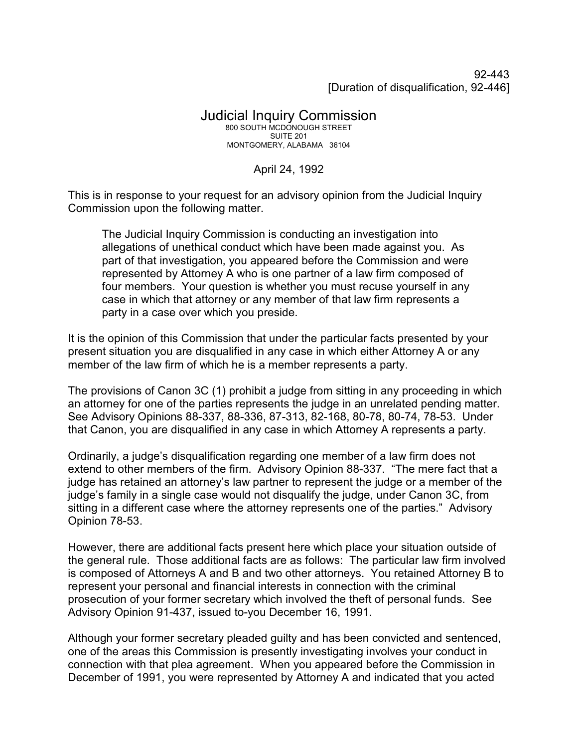92-443 [Duration of disqualification, 92-446]

## Judicial Inquiry Commission 800 SOUTH MCDONOUGH STREET SUITE 201 MONTGOMERY, ALABAMA 36104

## April 24, 1992

This is in response to your request for an advisory opinion from the Judicial Inquiry Commission upon the following matter.

The Judicial Inquiry Commission is conducting an investigation into allegations of unethical conduct which have been made against you. As part of that investigation, you appeared before the Commission and were represented by Attorney A who is one partner of a law firm composed of four members. Your question is whether you must recuse yourself in any case in which that attorney or any member of that law firm represents a party in a case over which you preside.

It is the opinion of this Commission that under the particular facts presented by your present situation you are disqualified in any case in which either Attorney A or any member of the law firm of which he is a member represents a party.

The provisions of Canon 3C (1) prohibit a judge from sitting in any proceeding in which an attorney for one of the parties represents the judge in an unrelated pending matter. See Advisory Opinions 88-337, 88-336, 87-313, 82-168, 80-78, 80-74, 78-53. Under that Canon, you are disqualified in any case in which Attorney A represents a party.

Ordinarily, a judge's disqualification regarding one member of a law firm does not extend to other members of the firm. Advisory Opinion 88-337. "The mere fact that a judge has retained an attorney's law partner to represent the judge or a member of the judge's family in a single case would not disqualify the judge, under Canon 3C, from sitting in a different case where the attorney represents one of the parties." Advisory Opinion 78-53.

However, there are additional facts present here which place your situation outside of the general rule. Those additional facts are as follows: The particular law firm involved is composed of Attorneys A and B and two other attorneys. You retained Attorney B to represent your personal and financial interests in connection with the criminal prosecution of your former secretary which involved the theft of personal funds. See Advisory Opinion 91-437, issued to-you December 16, 1991.

Although your former secretary pleaded guilty and has been convicted and sentenced, one of the areas this Commission is presently investigating involves your conduct in connection with that plea agreement. When you appeared before the Commission in December of 1991, you were represented by Attorney A and indicated that you acted